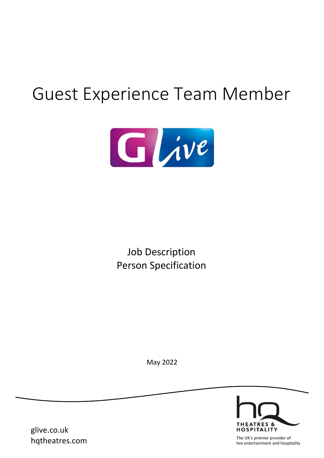# Guest Experience Team Member



Job Description Person Specification

May 2022



glive.co.uk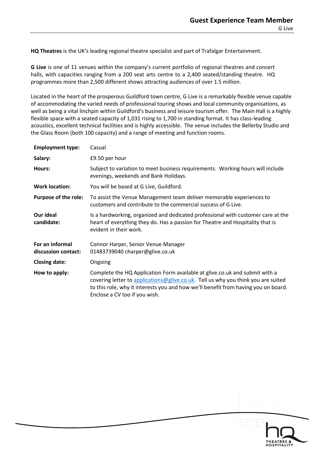**HQ Theatres** is the UK's leading regional theatre specialist and part of Trafalgar Entertainment.

**G Live** is one of 11 venues within the company's current portfolio of regional theatres and concert halls, with capacities ranging from a 200 seat arts centre to a 2,400 seated/standing theatre. HQ programmes more than 2,500 different shows attracting audiences of over 1.5 million.

Located in the heart of the prosperous Guildford town centre, G Live is a remarkably flexible venue capable of accommodating the varied needs of professional touring shows and local community organisations, as well as being a vital linchpin within Guildford's business and leisure tourism offer. The Main Hall is a highly flexible space with a seated capacity of 1,031 rising to 1,700 in standing format. It has class-leading acoustics, excellent technical facilities and is highly accessible. The venue includes the Bellerby Studio and the Glass Room (both 100 capacity) and a range of meeting and function rooms.

| <b>Employment type:</b>                | Casual                                                                                                                                                                                                                                                                                  |
|----------------------------------------|-----------------------------------------------------------------------------------------------------------------------------------------------------------------------------------------------------------------------------------------------------------------------------------------|
| Salary:                                | £9.50 per hour                                                                                                                                                                                                                                                                          |
| Hours:                                 | Subject to variation to meet business requirements. Working hours will include<br>evenings, weekends and Bank Holidays.                                                                                                                                                                 |
| <b>Work location:</b>                  | You will be based at G Live, Guildford.                                                                                                                                                                                                                                                 |
| <b>Purpose of the role:</b>            | To assist the Venue Management team deliver memorable experiences to<br>customers and contribute to the commercial success of G Live.                                                                                                                                                   |
| Our ideal<br>candidate:                | Is a hardworking, organized and dedicated professional with customer care at the<br>heart of everything they do. Has a passion for Theatre and Hospitality that is<br>evident in their work.                                                                                            |
| For an informal<br>discussion contact: | Connor Harper, Senior Venue Manager<br>01483739040 charper@glive.co.uk                                                                                                                                                                                                                  |
| <b>Closing date:</b>                   | Ongoing                                                                                                                                                                                                                                                                                 |
| How to apply:                          | Complete the HQ Application Form available at glive.co.uk and submit with a<br>covering letter to applications@glive.co.uk. Tell us why you think you are suited<br>to this role, why it interests you and how we'll benefit from having you on board.<br>Enclose a CV too if you wish. |

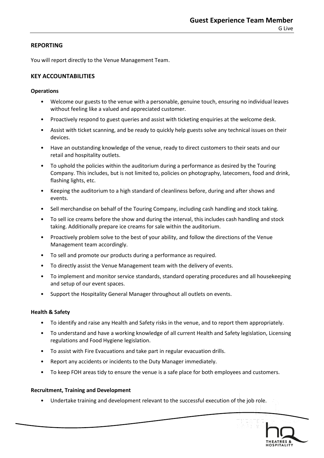## **REPORTING**

You will report directly to the Venue Management Team.

# **KEY ACCOUNTABILITIES**

## **Operations**

- Welcome our guests to the venue with a personable, genuine touch, ensuring no individual leaves without feeling like a valued and appreciated customer.
- Proactively respond to guest queries and assist with ticketing enquiries at the welcome desk.
- Assist with ticket scanning, and be ready to quickly help guests solve any technical issues on their devices.
- Have an outstanding knowledge of the venue, ready to direct customers to their seats and our retail and hospitality outlets.
- To uphold the policies within the auditorium during a performance as desired by the Touring Company. This includes, but is not limited to, policies on photography, latecomers, food and drink, flashing lights, etc.
- Keeping the auditorium to a high standard of cleanliness before, during and after shows and events.
- Sell merchandise on behalf of the Touring Company, including cash handling and stock taking.
- To sell ice creams before the show and during the interval, this includes cash handling and stock taking. Additionally prepare ice creams for sale within the auditorium.
- Proactively problem solve to the best of your ability, and follow the directions of the Venue Management team accordingly.
- To sell and promote our products during a performance as required.
- To directly assist the Venue Management team with the delivery of events.
- To implement and monitor service standards, standard operating procedures and all housekeeping and setup of our event spaces.
- Support the Hospitality General Manager throughout all outlets on events.

## **Health & Safety**

- To identify and raise any Health and Safety risks in the venue, and to report them appropriately.
- To understand and have a working knowledge of all current Health and Safety legislation, Licensing regulations and Food Hygiene legislation.
- To assist with Fire Evacuations and take part in regular evacuation drills.
- Report any accidents or incidents to the Duty Manager immediately.
- To keep FOH areas tidy to ensure the venue is a safe place for both employees and customers.

## **Recruitment, Training and Development**

• Undertake training and development relevant to the successful execution of the job role.